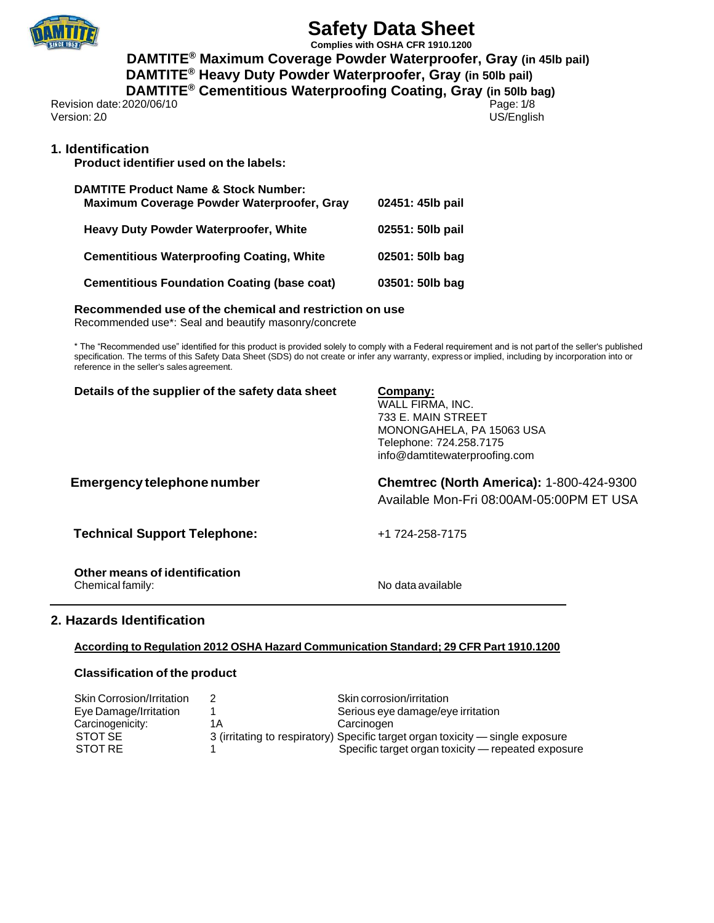

**Complies with OSHA CFR 1910.1200 DAMTITE® Maximum Coverage Powder Waterproofer, Gray (in 45lb pail) DAMTITE® Heavy Duty Powder Waterproofer, Gray (in 50lb pail) DAMTITE® Cementitious Waterproofing Coating, Gray (in 50lb bag)**

Revision date:2020/06/10 Page: 1/8<br>Version: 20<br>
US/English Version: 2.0

## **1. Identification**

**Product identifier used on the labels:**

| <b>DAMTITE Product Name &amp; Stock Number:</b><br>Maximum Coverage Powder Waterproofer, Gray | 02451: 45lb pail |
|-----------------------------------------------------------------------------------------------|------------------|
| <b>Heavy Duty Powder Waterproofer, White</b>                                                  | 02551: 50lb pail |
| <b>Cementitious Waterproofing Coating, White</b>                                              | 02501: 50lb bag  |
| <b>Cementitious Foundation Coating (base coat)</b>                                            | 03501: 50lb bag  |

### **Recommended use of the chemical and restriction on use**

Recommended use\*: Seal and beautify masonry/concrete

\* The "Recommended use" identified for this product is provided solely to comply with a Federal requirement and is not part of the seller's published specification. The terms of this Safety Data Sheet (SDS) do not create or infer any warranty, express or implied, including by incorporation into or reference in the seller's sales agreement.

| Details of the supplier of the safety data sheet | Company:<br>WALL FIRMA, INC.<br>733 E. MAIN STREET<br>MONONGAHELA, PA 15063 USA<br>Telephone: 724.258.7175<br>info@damtitewaterproofing.com |
|--------------------------------------------------|---------------------------------------------------------------------------------------------------------------------------------------------|
| Emergency telephone number                       | <b>Chemtrec (North America): 1-800-424-9300</b><br>Available Mon-Fri 08:00AM-05:00PM ET USA                                                 |
| <b>Technical Support Telephone:</b>              | +1 724-258-7175                                                                                                                             |
| Other means of identification                    |                                                                                                                                             |

Chemical family: Chemical family:

## **2. Hazards Identification**

### **According to Regulation 2012 OSHA Hazard Communication Standard; 29 CFR Part 1910.1200**

### **Classification of the product**

| <b>Skin Corrosion/Irritation</b> |    | Skin corrosion/irritation                                                      |
|----------------------------------|----|--------------------------------------------------------------------------------|
| Eye Damage/Irritation            |    | Serious eye damage/eye irritation                                              |
| Carcinogenicity:                 | 1Α | Carcinogen                                                                     |
| STOT SE                          |    | 3 (irritating to respiratory) Specific target organ toxicity — single exposure |
| STOT RE                          |    | Specific target organ toxicity – repeated exposure                             |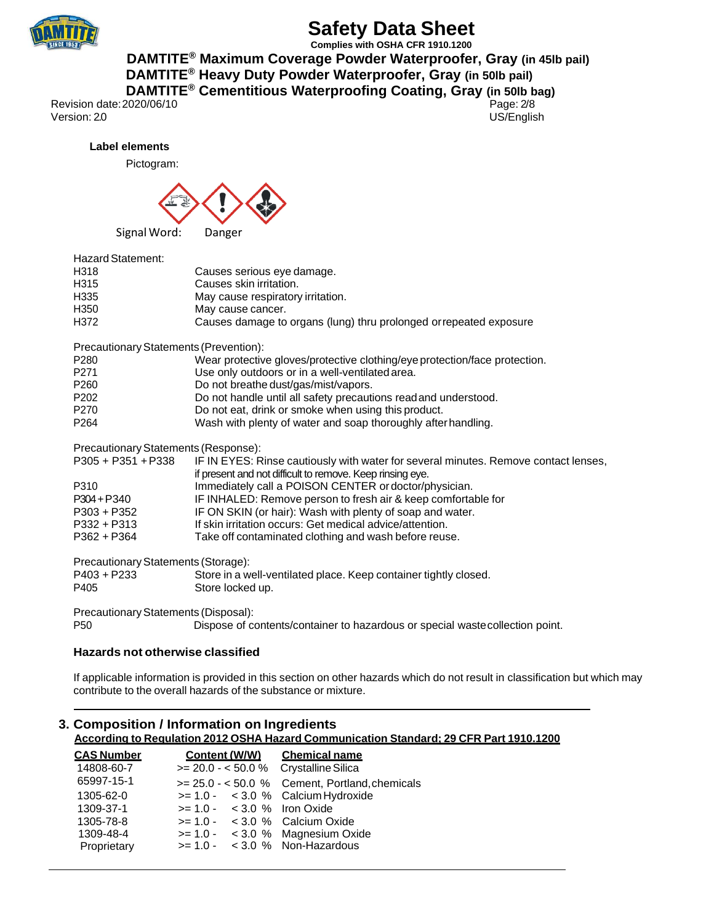

**Complies with OSHA CFR 1910.1200 DAMTITE® Maximum Coverage Powder Waterproofer, Gray (in 45lb pail)**

 **DAMTITE® Heavy Duty Powder Waterproofer, Gray (in 50lb pail) DAMTITE® Cementitious Waterproofing Coating, Gray (in 50lb bag)**

Revision date:2020/06/10 Page: 2/8<br>Version: 20<br>
US/English Version: 2.0

**Label elements**

Pictogram:



| <b>Hazard Statement:</b> |                                                                    |
|--------------------------|--------------------------------------------------------------------|
| H318                     | Causes serious eye damage.                                         |
| H315                     | Causes skin irritation.                                            |
| H335                     | May cause respiratory irritation.                                  |
| H350                     | May cause cancer.                                                  |
| H372                     | Causes damage to organs (lung) thru prolonged or repeated exposure |
|                          |                                                                    |

Precautionary Statements (Prevention):

| P280             | Wear protective gloves/protective clothing/eye protection/face protection. |
|------------------|----------------------------------------------------------------------------|
| P <sub>271</sub> | Use only outdoors or in a well-ventilated area.                            |
| P260             | Do not breathe dust/gas/mist/vapors.                                       |
| P202             | Do not handle until all safety precautions read and understood.            |
| P <sub>270</sub> | Do not eat idrink or smoke when using this product.                        |

P270 Do not eat, drink or smoke when using this product.<br>P264 Do Mash with plenty of water and soap thoroughly afte Wash with plenty of water and soap thoroughly after handling.

Precautionary Statements (Response):

| $P305 + P351 + P338$ | IF IN EYES: Rinse cautiously with water for several minutes. Remove contact lenses, |
|----------------------|-------------------------------------------------------------------------------------|
|                      | if present and not difficult to remove. Keep rinsing eye.                           |
| P310                 | Immediately call a POISON CENTER or doctor/physician.                               |
| $P304 + P340$        | IF INHALED: Remove person to fresh air & keep comfortable for                       |
| $P303 + P352$        | IF ON SKIN (or hair): Wash with plenty of soap and water.                           |
| $P332 + P313$        | If skin irritation occurs: Get medical advice/attention.                            |
| $P362 + P364$        | Take off contaminated clothing and wash before reuse.                               |
|                      |                                                                                     |

Precautionary Statements (Storage):

| P403 + P233 | Store in a well-ventilated place. Keep container tightly closed. |
|-------------|------------------------------------------------------------------|
| P405        | Store locked up.                                                 |

Precautionary Statements (Disposal):

P50 Dispose of contents/container to hazardous or special wastecollection point.

### **Hazards not otherwise classified**

If applicable information is provided in this section on other hazards which do not result in classification but which may contribute to the overall hazards of the substance or mixture.

## **3. Composition / Information on Ingredients According to Regulation 2012 OSHA Hazard Communication Standard; 29 CFR Part 1910.1200**

| <b>CAS Number</b> | Content (W/W)                         | <b>Chemical name</b>                           |
|-------------------|---------------------------------------|------------------------------------------------|
| 14808-60-7        | $>= 20.0 - 50.0 %$ Crystalline Silica |                                                |
| 65997-15-1        |                                       | $>= 25.0 - 50.0$ % Cement, Portland, chemicals |
| 1305-62-0         | $>= 1.0 - < 3.0 %$ Calcium Hydroxide  |                                                |
| 1309-37-1         | $>= 1.0 - 3.0 %$ Iron Oxide           |                                                |
| 1305-78-8         | $>= 1.0 - 3.0 %$ Calcium Oxide        |                                                |
| 1309-48-4         | $>= 1.0 - 3.0 %$ Magnesium Oxide      |                                                |
| Proprietary       | $>= 1.0 - 3.0 %$ Non-Hazardous        |                                                |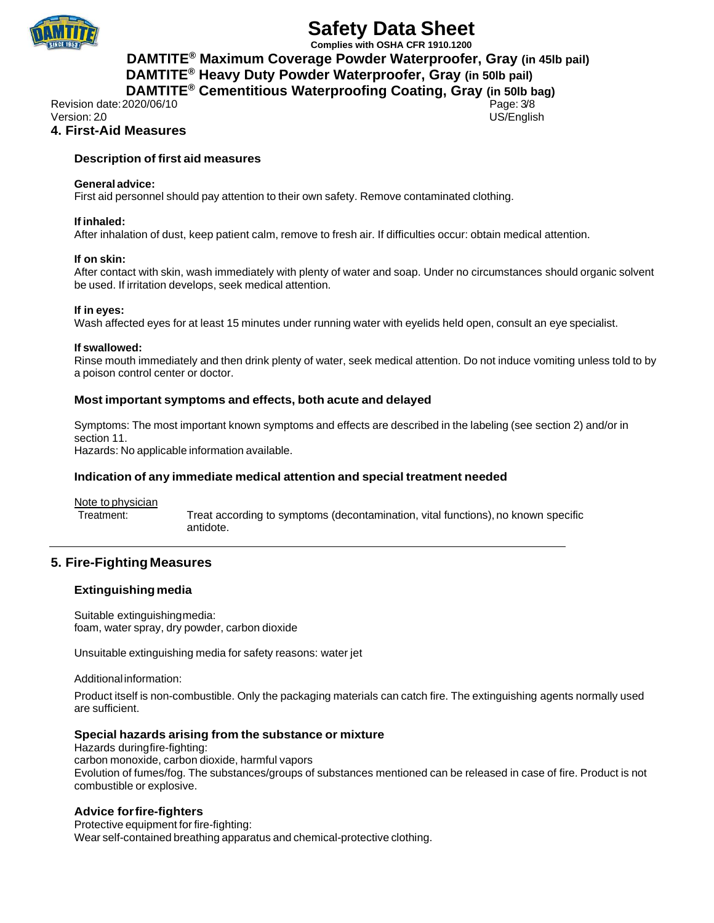

**Complies with OSHA CFR 1910.1200 DAMTITE® Maximum Coverage Powder Waterproofer, Gray (in 45lb pail) DAMTITE® Heavy Duty Powder Waterproofer, Gray (in 50lb pail) DAMTITE® Cementitious Waterproofing Coating, Gray (in 50lb bag)**

Revision date: 2020/06/10 **Page: 3/8** Page: 3/8 Version: 2.0 US/English

## **4. First-Aid Measures**

### **Description of first aid measures**

### **General advice:**

First aid personnel should pay attention to their own safety. Remove contaminated clothing.

### **If inhaled:**

After inhalation of dust, keep patient calm, remove to fresh air. If difficulties occur: obtain medical attention.

### **If on skin:**

After contact with skin, wash immediately with plenty of water and soap. Under no circumstances should organic solvent be used. If irritation develops, seek medical attention.

### **If in eyes:**

Wash affected eyes for at least 15 minutes under running water with eyelids held open, consult an eye specialist.

### **If swallowed:**

Rinse mouth immediately and then drink plenty of water, seek medical attention. Do not induce vomiting unless told to by a poison control center or doctor.

### **Most important symptoms and effects, both acute and delayed**

Symptoms: The most important known symptoms and effects are described in the labeling (see section 2) and/or in section 11.

Hazards: No applicable information available.

### **Indication of any immediate medical attention and special treatment needed**

Note to physician

Treatment: Treat according to symptoms (decontamination, vital functions), no known specific antidote.

## **5. Fire-Fighting Measures**

### **Extinguishingmedia**

Suitable extinguishingmedia: foam, water spray, dry powder, carbon dioxide

Unsuitable extinguishing media for safety reasons: water jet

Additional information:

Product itself is non-combustible. Only the packaging materials can catch fire. The extinguishing agents normally used are sufficient.

### **Special hazards arising from the substance or mixture**

Hazards duringfire-fighting: carbon monoxide, carbon dioxide, harmful vapors Evolution of fumes/fog. The substances/groups of substances mentioned can be released in case of fire. Product is not combustible or explosive.

### **Advice forfire-fighters**

Protective equipment for fire-fighting: Wear self-contained breathing apparatus and chemical-protective clothing.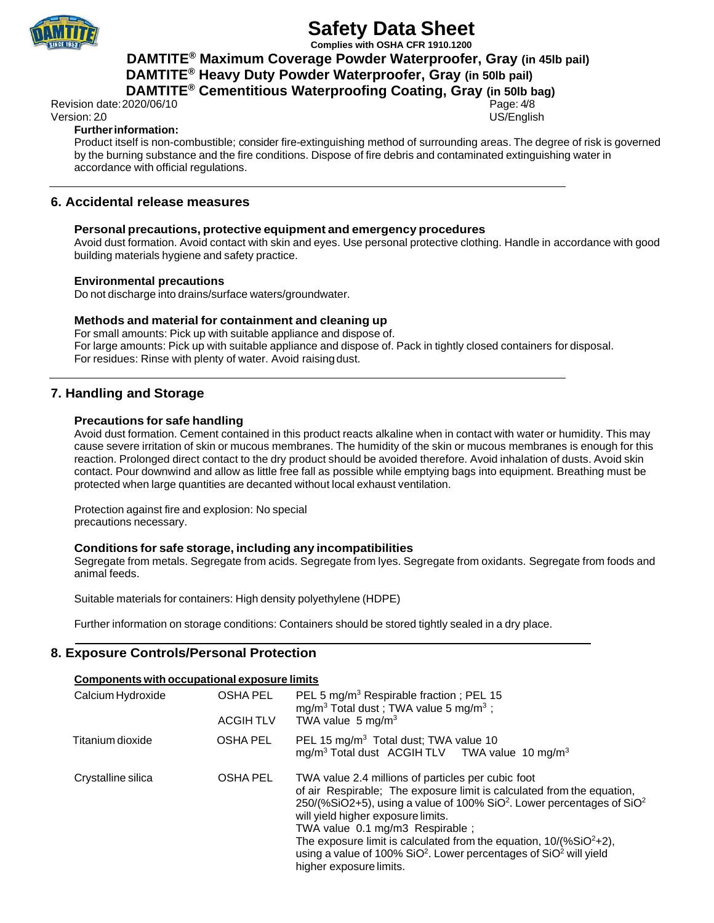

**Complies with OSHA CFR 1910.1200**

 **DAMTITE® Maximum Coverage Powder Waterproofer, Gray (in 45lb pail)**

 **DAMTITE® Heavy Duty Powder Waterproofer, Gray (in 50lb pail) DAMTITE® Cementitious Waterproofing Coating, Gray (in 50lb bag)**

Revision date: 2020/06/10 **Page: 4/8** 

## Version: 2.0 US/English

## **Furtherinformation:**

Product itself is non-combustible; consider fire-extinguishing method of surrounding areas. The degree of risk is governed by the burning substance and the fire conditions. Dispose of fire debris and contaminated extinguishing water in accordance with official regulations.

## **6. Accidental release measures**

### **Personal precautions, protective equipment and emergency procedures**

Avoid dust formation. Avoid contact with skin and eyes. Use personal protective clothing. Handle in accordance with good building materials hygiene and safety practice.

### **Environmental precautions**

Do not discharge into drains/surface waters/groundwater.

### **Methods and material for containment and cleaning up**

For small amounts: Pick up with suitable appliance and dispose of. For large amounts: Pick up with suitable appliance and dispose of. Pack in tightly closed containers for disposal. For residues: Rinse with plenty of water. Avoid raising dust.

## **7. Handling and Storage**

### **Precautions for safe handling**

Avoid dust formation. Cement contained in this product reacts alkaline when in contact with water or humidity. This may cause severe irritation of skin or mucous membranes. The humidity of the skin or mucous membranes is enough for this reaction. Prolonged direct contact to the dry product should be avoided therefore. Avoid inhalation of dusts. Avoid skin contact. Pour downwind and allow as little free fall as possible while emptying bags into equipment. Breathing must be protected when large quantities are decanted without local exhaust ventilation.

Protection against fire and explosion: No special precautions necessary.

### **Conditions for safe storage, including any incompatibilities**

Segregate from metals. Segregate from acids. Segregate from lyes. Segregate from oxidants. Segregate from foods and animal feeds.

Suitable materials for containers: High density polyethylene (HDPE)

Further information on storage conditions: Containers should be stored tightly sealed in a dry place.

## **8. Exposure Controls/Personal Protection**

### **Components with occupational exposure limits**

| Calcium Hydroxide  | <b>OSHA PEL</b><br><b>ACGIHTLV</b> | PEL 5 mg/m <sup>3</sup> Respirable fraction; PEL 15<br>mg/m <sup>3</sup> Total dust; TWA value 5 mg/m <sup>3</sup> ;<br>TWA value $5 \text{ mg/m}^3$                                                                                                                                                                                                                                                                                                                                                       |
|--------------------|------------------------------------|------------------------------------------------------------------------------------------------------------------------------------------------------------------------------------------------------------------------------------------------------------------------------------------------------------------------------------------------------------------------------------------------------------------------------------------------------------------------------------------------------------|
| Titanium dioxide   | OSHA PEL                           | PEL 15 mg/m <sup>3</sup> Total dust; TWA value 10<br>mg/m <sup>3</sup> Total dust ACGIH TLV TWA value 10 mg/m <sup>3</sup>                                                                                                                                                                                                                                                                                                                                                                                 |
| Crystalline silica | <b>OSHA PEL</b>                    | TWA value 2.4 millions of particles per cubic foot<br>of air Respirable; The exposure limit is calculated from the equation,<br>$250/(%SiO2+5)$ , using a value of 100% SiO <sup>2</sup> . Lower percentages of SiO <sup>2</sup><br>will yield higher exposure limits.<br>TWA value 0.1 mg/m3 Respirable ;<br>The exposure limit is calculated from the equation, $10/(%SiO2+2)$ ,<br>using a value of 100% SiO <sup>2</sup> . Lower percentages of SiO <sup>2</sup> will yield<br>higher exposure limits. |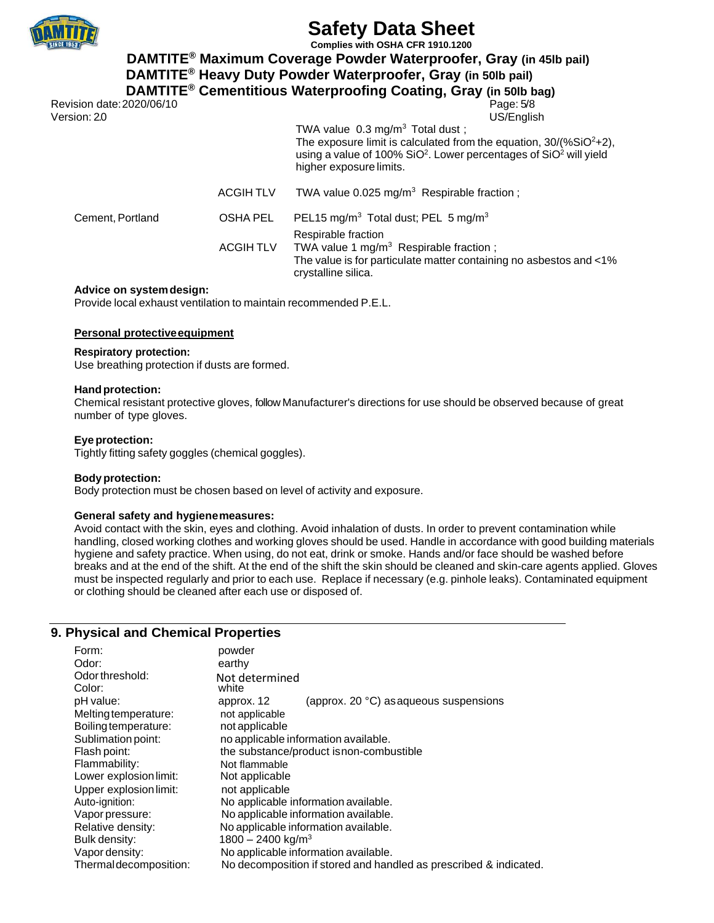

**Complies with OSHA CFR 1910.1200**

 **DAMTITE® Maximum Coverage Powder Waterproofer, Gray (in 45lb pail)**

 **DAMTITE® Heavy Duty Powder Waterproofer, Gray (in 50lb pail) DAMTITE® Cementitious Waterproofing Coating, Gray (in 50lb bag)**

Revision date: 2020/06/10 Version: 2.0 US/English

TWA value  $0.3 \text{ mg/m}^3$  Total dust; The exposure limit is calculated from the equation,  $30/(%SiO<sup>2</sup>+2)$ , using a value of 100% SiO<sup>2</sup>. Lower percentages of SiO<sup>2</sup> will yield higher exposure limits.

ACGIH TLV TWA value 0.025 mg/m<sup>3</sup> Respirable fraction ;

Cement, Portland OSHA PEL PEL15 mg/m<sup>3</sup> Total dust; PEL 5 mg/m<sup>3</sup> Respirable fraction ACGIH TLV TWA value 1 mg/m<sup>3</sup> Respirable fraction; The value is for particulate matter containing no asbestos and <1% crystalline silica.

### **Advice on systemdesign:**

Provide local exhaust ventilation to maintain recommended P.E.L.

### **Personal protectiveequipment**

### **Respiratory protection:**

Use breathing protection if dusts are formed.

### **Handprotection:**

Chemical resistant protective gloves, follow Manufacturer's directions for use should be observed because of great number of type gloves.

### **Eye protection:**

Tightly fitting safety goggles (chemical goggles).

### **Bodyprotection:**

Body protection must be chosen based on level of activity and exposure.

### **General safety and hygienemeasures:**

Avoid contact with the skin, eyes and clothing. Avoid inhalation of dusts. In order to prevent contamination while handling, closed working clothes and working gloves should be used. Handle in accordance with good building materials hygiene and safety practice. When using, do not eat, drink or smoke. Hands and/or face should be washed before breaks and at the end of the shift. At the end of the shift the skin should be cleaned and skin-care agents applied. Gloves must be inspected regularly and prior to each use. Replace if necessary (e.g. pinhole leaks). Contaminated equipment or clothing should be cleaned after each use or disposed of.

### **9. Physical and Chemical Properties**

| Form:<br>Odor:            | powder<br>earthy                                                  |
|---------------------------|-------------------------------------------------------------------|
| Odor threshold:<br>Color: | Not determined<br>white                                           |
| pH value:                 | (approx. 20 °C) as aqueous suspensions<br>approx. 12              |
| Melting temperature:      | not applicable                                                    |
| Boiling temperature:      | not applicable                                                    |
| Sublimation point:        | no applicable information available.                              |
| Flash point:              | the substance/product is non-combustible                          |
| Flammability:             | Not flammable                                                     |
| Lower explosion limit:    | Not applicable                                                    |
| Upper explosion limit:    | not applicable                                                    |
| Auto-ignition:            | No applicable information available.                              |
| Vapor pressure:           | No applicable information available.                              |
| Relative density:         | No applicable information available.                              |
| Bulk density:             | 1800 - 2400 kg/m <sup>3</sup>                                     |
| Vapor density:            | No applicable information available.                              |
| Thermaldecomposition:     | No decomposition if stored and handled as prescribed & indicated. |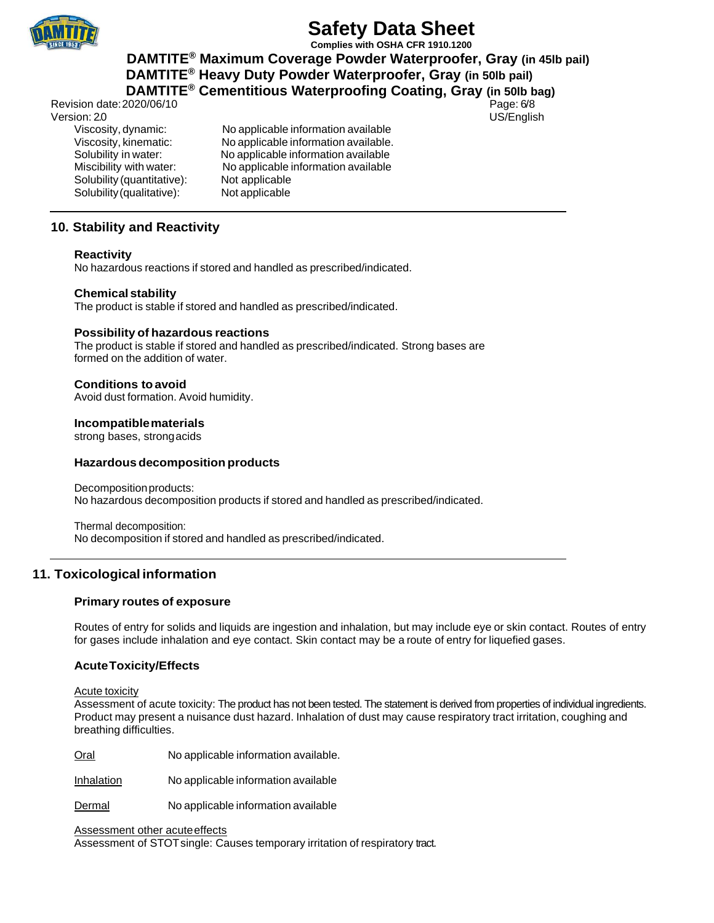

**Complies with OSHA CFR 1910.1200**

 **DAMTITE® Maximum Coverage Powder Waterproofer, Gray (in 45lb pail) DAMTITE® Heavy Duty Powder Waterproofer, Gray (in 50lb pail)**

**DAMTITE® Cementitious Waterproofing Coating, Gray (in 50lb bag)**

Revision date: 2020/06/10 **Page: 6/8** Page: 6/8 Version: 2.0 US/English Solubility (quantitative):

Viscosity, dynamic: No applicable information available Viscosity, kinematic: No applicable information available. Solubility in water: No applicable information available Miscibility with water: No applicable information available<br>Solubility (quantitative): Not applicable Solubility (qualitative): Not applicable

## **10. Stability and Reactivity**

### **Reactivity**

No hazardous reactions if stored and handled as prescribed/indicated.

### **Chemical stability**

The product is stable if stored and handled as prescribed/indicated.

### **Possibility of hazardous reactions**

The product is stable if stored and handled as prescribed/indicated. Strong bases are formed on the addition of water.

### **Conditions toavoid**

Avoid dust formation. Avoid humidity.

### **Incompatiblematerials**

strong bases, strongacids

### **Hazardousdecomposition products**

Decompositionproducts: No hazardous decomposition products if stored and handled as prescribed/indicated.

Thermal decomposition: No decomposition if stored and handled as prescribed/indicated.

## **11. Toxicological information**

### **Primary routes of exposure**

Routes of entry for solids and liquids are ingestion and inhalation, but may include eye or skin contact. Routes of entry for gases include inhalation and eye contact. Skin contact may be a route of entry for liquefied gases.

### **AcuteToxicity/Effects**

Acute toxicity

Assessment of acute toxicity: The product has not been tested. The statement is derived from properties of individual ingredients. Product may present a nuisance dust hazard. Inhalation of dust may cause respiratory tract irritation, coughing and breathing difficulties.

Oral No applicable information available.

Inhalation No applicable information available

Dermal No applicable information available

Assessment other acute effects

Assessment of STOTsingle: Causes temporary irritation of respiratory tract.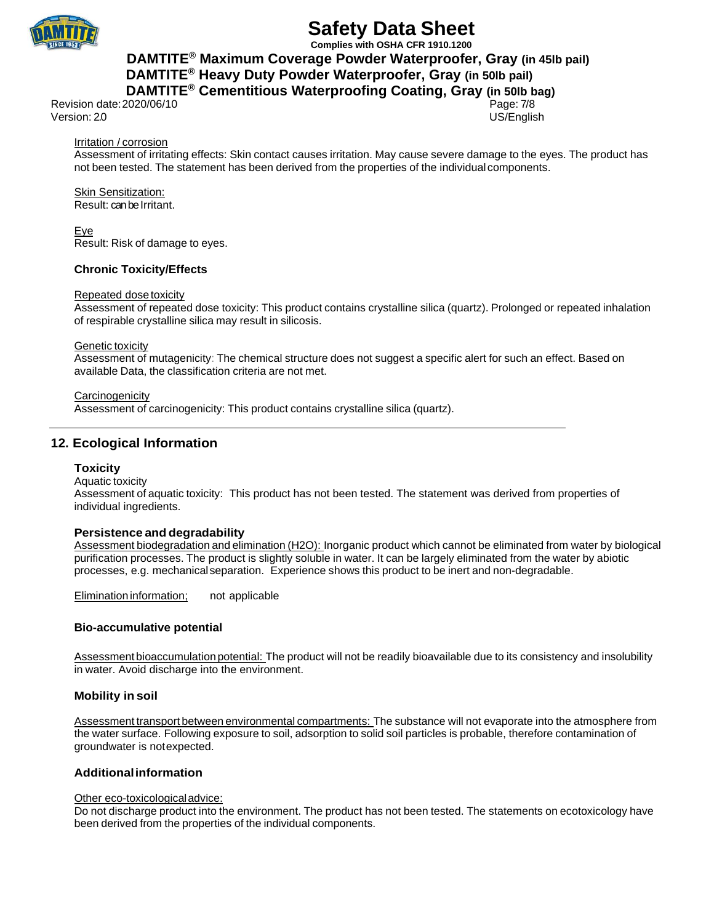

**Complies with OSHA CFR 1910.1200 DAMTITE® Maximum Coverage Powder Waterproofer, Gray (in 45lb pail) DAMTITE® Heavy Duty Powder Waterproofer, Gray (in 50lb pail)**

## **DAMTITE® Cementitious Waterproofing Coating, Gray (in 50lb bag)**

Revision date: 2020/06/10 **Page:** 7/8 Version: 2.0 US/English

### Irritation / corrosion

Assessment of irritating effects: Skin contact causes irritation. May cause severe damage to the eyes. The product has not been tested. The statement has been derived from the properties of the individual components.

Skin Sensitization: Result: can be Irritant.

Eye Result: Risk of damage to eyes.

### **Chronic Toxicity/Effects**

### Repeated dosetoxicity

Assessment of repeated dose toxicity: This product contains crystalline silica (quartz). Prolonged or repeated inhalation of respirable crystalline silica may result in silicosis.

### **Genetic toxicity**

Assessment of mutagenicity: The chemical structure does not suggest a specific alert for such an effect. Based on available Data, the classification criteria are not met.

**Carcinogenicity** 

Assessment of carcinogenicity: This product contains crystalline silica (quartz).

## **12. Ecological Information**

### **Toxicity**

Aquatic toxicity Assessment of aquatic toxicity: This product has not been tested. The statement was derived from properties of individual ingredients.

### **Persistence and degradability**

Assessment biodegradation and elimination (H2O): Inorganic product which cannot be eliminated from water by biological purification processes. The product is slightly soluble in water. It can be largely eliminated from the water by abiotic processes, e.g. mechanicalseparation. Experience shows this product to be inert and non-degradable.

Elimination information; not applicable

### **Bio-accumulative potential**

Assessment bioaccumulation potential: The product will not be readily bioavailable due to its consistency and insolubility in water. Avoid discharge into the environment.

### **Mobility in soil**

Assessment transport between environmental compartments: The substance will not evaporate into the atmosphere from the water surface. Following exposure to soil, adsorption to solid soil particles is probable, therefore contamination of groundwater is notexpected.

### **Additionalinformation**

### Other eco-toxicologicaladvice:

Do not discharge product into the environment. The product has not been tested. The statements on ecotoxicology have been derived from the properties of the individual components.